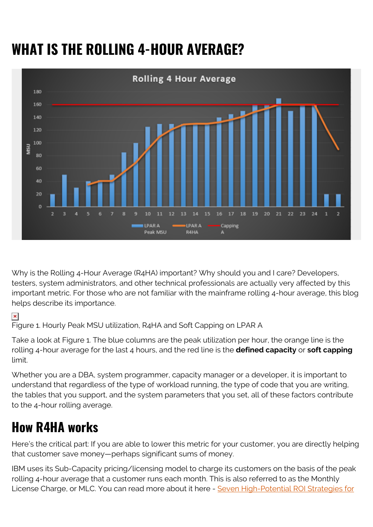# **WHAT IS THE ROLLING 4-HOUR AVERAGE?**



Why is the Rolling 4-Hour Average (R4HA) important? Why should you and I care? Developers, testers, system administrators, and other technical professionals are actually very affected by this important metric. For those who are not familiar with the mainframe rolling 4-hour average, this blog helps describe its importance.

#### $\pmb{\times}$

Figure 1. Hourly Peak MSU utilization, R4HA and Soft Capping on LPAR A

Take a look at Figure 1. The blue columns are the peak utilization per hour, the orange line is the rolling 4-hour average for the last 4 hours, and the red line is the **defined capacity** or **soft capping** limit.

Whether you are a DBA, system programmer, capacity manager or a developer, it is important to understand that regardless of the type of workload running, the type of code that you are writing, the tables that you support, and the system parameters that you set, all of these factors contribute to the 4-hour rolling average.

## **How R4HA works**

Here's the critical part: If you are able to lower this metric for your customer, you are directly helping that customer save money—perhaps significant sums of money.

IBM uses its Sub-Capacity pricing/licensing model to charge its customers on the basis of the peak rolling 4-hour average that a customer runs each month. This is also referred to as the Monthly License Charge, or MLC. You can read more about it here - [Seven High-Potential ROI Strategies for](https://communities.bmc.com/community/bmcdn/bmc_for_mainframes_and_middleware/mlc-software-cost-optimization/blog/2015/11/20/seven-high-potential-roi-strategies-for-reducing-mainframe-costs)